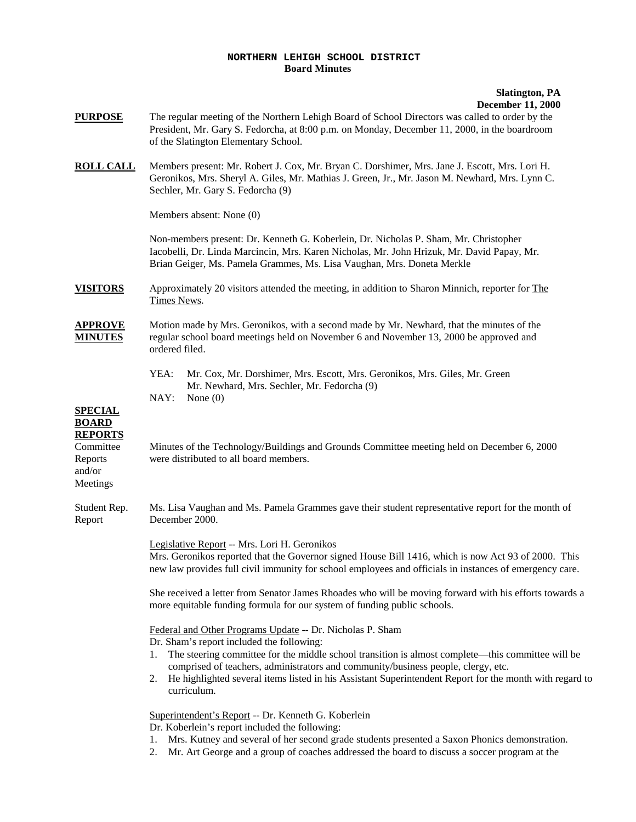## **NORTHERN LEHIGH SCHOOL DISTRICT Board Minutes**

## **Slatington, PA December 11, 2000**

- **PURPOSE** The regular meeting of the Northern Lehigh Board of School Directors was called to order by the President, Mr. Gary S. Fedorcha, at 8:00 p.m. on Monday, December 11, 2000, in the boardroom of the Slatington Elementary School.
- **ROLL CALL** Members present: Mr. Robert J. Cox, Mr. Bryan C. Dorshimer, Mrs. Jane J. Escott, Mrs. Lori H. Geronikos, Mrs. Sheryl A. Giles, Mr. Mathias J. Green, Jr., Mr. Jason M. Newhard, Mrs. Lynn C. Sechler, Mr. Gary S. Fedorcha (9)

Members absent: None (0)

Non-members present: Dr. Kenneth G. Koberlein, Dr. Nicholas P. Sham, Mr. Christopher Iacobelli, Dr. Linda Marcincin, Mrs. Karen Nicholas, Mr. John Hrizuk, Mr. David Papay, Mr. Brian Geiger, Ms. Pamela Grammes, Ms. Lisa Vaughan, Mrs. Doneta Merkle

**VISITORS** Approximately 20 visitors attended the meeting, in addition to Sharon Minnich, reporter for The Times News.

**APPROVE** Motion made by Mrs. Geronikos, with a second made by Mr. Newhard, that the minutes of the **MINUTES** regular school board meetings held on November 6 and November 13, 2000 be approved and ordered filed.

- YEA: Mr. Cox, Mr. Dorshimer, Mrs. Escott, Mrs. Geronikos, Mrs. Giles, Mr. Green Mr. Newhard, Mrs. Sechler, Mr. Fedorcha (9) NAY: None (0)
- 

## **SPECIAL BOARD REPORTS**

and/or Meetings

Committee Minutes of the Technology/Buildings and Grounds Committee meeting held on December 6, 2000 Reports were distributed to all board members.

Student Rep. Ms. Lisa Vaughan and Ms. Pamela Grammes gave their student representative report for the month of Report December 2000.

> Legislative Report -- Mrs. Lori H. Geronikos Mrs. Geronikos reported that the Governor signed House Bill 1416, which is now Act 93 of 2000. This new law provides full civil immunity for school employees and officials in instances of emergency care.

She received a letter from Senator James Rhoades who will be moving forward with his efforts towards a more equitable funding formula for our system of funding public schools.

Federal and Other Programs Update -- Dr. Nicholas P. Sham

Dr. Sham's report included the following:

- 1. The steering committee for the middle school transition is almost complete—this committee will be comprised of teachers, administrators and community/business people, clergy, etc.
- 2. He highlighted several items listed in his Assistant Superintendent Report for the month with regard to curriculum.

Superintendent's Report -- Dr. Kenneth G. Koberlein

Dr. Koberlein's report included the following:

- 1. Mrs. Kutney and several of her second grade students presented a Saxon Phonics demonstration.
- 2. Mr. Art George and a group of coaches addressed the board to discuss a soccer program at the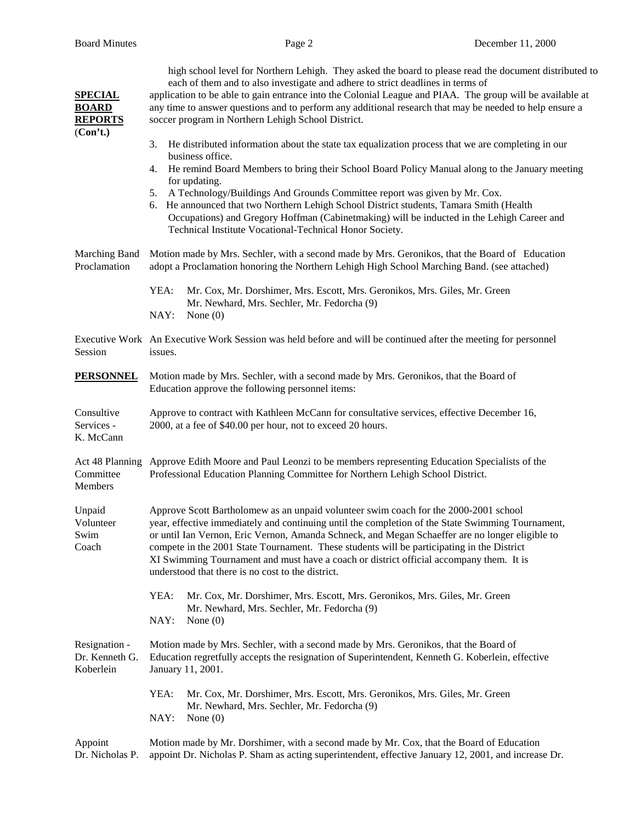| <b>SPECIAL</b><br><b>BOARD</b><br><b>REPORTS</b><br>(Con't.) | high school level for Northern Lehigh. They asked the board to please read the document distributed to<br>each of them and to also investigate and adhere to strict deadlines in terms of<br>application to be able to gain entrance into the Colonial League and PIAA. The group will be available at<br>any time to answer questions and to perform any additional research that may be needed to help ensure a<br>soccer program in Northern Lehigh School District.                                                                                                                  |
|--------------------------------------------------------------|------------------------------------------------------------------------------------------------------------------------------------------------------------------------------------------------------------------------------------------------------------------------------------------------------------------------------------------------------------------------------------------------------------------------------------------------------------------------------------------------------------------------------------------------------------------------------------------|
|                                                              | He distributed information about the state tax equalization process that we are completing in our<br>3.<br>business office.<br>He remind Board Members to bring their School Board Policy Manual along to the January meeting<br>4.<br>for updating.<br>5. A Technology/Buildings And Grounds Committee report was given by Mr. Cox.<br>6. He announced that two Northern Lehigh School District students, Tamara Smith (Health<br>Occupations) and Gregory Hoffman (Cabinetmaking) will be inducted in the Lehigh Career and<br>Technical Institute Vocational-Technical Honor Society. |
| Marching Band<br>Proclamation                                | Motion made by Mrs. Sechler, with a second made by Mrs. Geronikos, that the Board of Education<br>adopt a Proclamation honoring the Northern Lehigh High School Marching Band. (see attached)<br>YEA:<br>Mr. Cox, Mr. Dorshimer, Mrs. Escott, Mrs. Geronikos, Mrs. Giles, Mr. Green<br>Mr. Newhard, Mrs. Sechler, Mr. Fedorcha (9)<br>NAY:<br>None $(0)$                                                                                                                                                                                                                                 |
| Session                                                      | Executive Work An Executive Work Session was held before and will be continued after the meeting for personnel<br>issues.                                                                                                                                                                                                                                                                                                                                                                                                                                                                |
| <b>PERSONNEL</b>                                             | Motion made by Mrs. Sechler, with a second made by Mrs. Geronikos, that the Board of<br>Education approve the following personnel items:                                                                                                                                                                                                                                                                                                                                                                                                                                                 |
| Consultive<br>Services -<br>K. McCann                        | Approve to contract with Kathleen McCann for consultative services, effective December 16,<br>2000, at a fee of \$40.00 per hour, not to exceed 20 hours.                                                                                                                                                                                                                                                                                                                                                                                                                                |
| Act 48 Planning<br>Committee<br>Members                      | Approve Edith Moore and Paul Leonzi to be members representing Education Specialists of the<br>Professional Education Planning Committee for Northern Lehigh School District.                                                                                                                                                                                                                                                                                                                                                                                                            |
| Unpaid<br>Volunteer<br>Swim<br>Coach                         | Approve Scott Bartholomew as an unpaid volunteer swim coach for the 2000-2001 school<br>year, effective immediately and continuing until the completion of the State Swimming Tournament,<br>or until Ian Vernon, Eric Vernon, Amanda Schneck, and Megan Schaeffer are no longer eligible to<br>compete in the 2001 State Tournament. These students will be participating in the District<br>XI Swimming Tournament and must have a coach or district official accompany them. It is<br>understood that there is no cost to the district.                                               |
|                                                              | YEA:<br>Mr. Cox, Mr. Dorshimer, Mrs. Escott, Mrs. Geronikos, Mrs. Giles, Mr. Green<br>Mr. Newhard, Mrs. Sechler, Mr. Fedorcha (9)<br>NAY:<br>None $(0)$                                                                                                                                                                                                                                                                                                                                                                                                                                  |
| Resignation -<br>Dr. Kenneth G.<br>Koberlein                 | Motion made by Mrs. Sechler, with a second made by Mrs. Geronikos, that the Board of<br>Education regretfully accepts the resignation of Superintendent, Kenneth G. Koberlein, effective<br>January 11, 2001.                                                                                                                                                                                                                                                                                                                                                                            |
|                                                              | YEA:<br>Mr. Cox, Mr. Dorshimer, Mrs. Escott, Mrs. Geronikos, Mrs. Giles, Mr. Green<br>Mr. Newhard, Mrs. Sechler, Mr. Fedorcha (9)<br>NAY:<br>None $(0)$                                                                                                                                                                                                                                                                                                                                                                                                                                  |
| Appoint                                                      | Motion made by Mr. Dorshimer, with a second made by Mr. Cox, that the Board of Education                                                                                                                                                                                                                                                                                                                                                                                                                                                                                                 |

Dr. Nicholas P. appoint Dr. Nicholas P. Sham as acting superintendent, effective January 12, 2001, and increase Dr.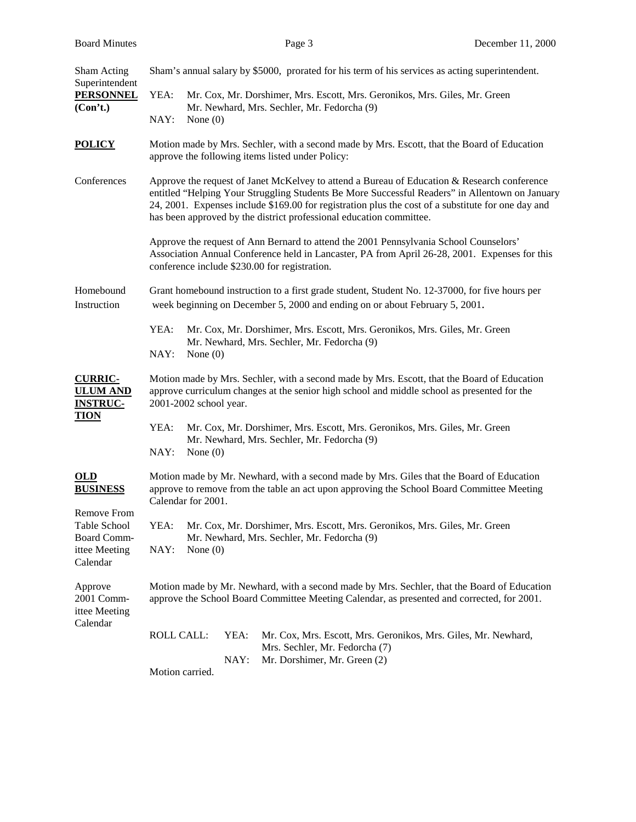| Sham Acting<br>Superintendent<br><b>PERSONNEL</b><br>(Con't.)                         | Sham's annual salary by \$5000, prorated for his term of his services as acting superintendent.                                                                                                                                                                                                                                                                            |
|---------------------------------------------------------------------------------------|----------------------------------------------------------------------------------------------------------------------------------------------------------------------------------------------------------------------------------------------------------------------------------------------------------------------------------------------------------------------------|
|                                                                                       | YEA:<br>Mr. Cox, Mr. Dorshimer, Mrs. Escott, Mrs. Geronikos, Mrs. Giles, Mr. Green<br>Mr. Newhard, Mrs. Sechler, Mr. Fedorcha (9)<br>NAY:<br>None $(0)$                                                                                                                                                                                                                    |
| <b>POLICY</b>                                                                         | Motion made by Mrs. Sechler, with a second made by Mrs. Escott, that the Board of Education<br>approve the following items listed under Policy:                                                                                                                                                                                                                            |
| Conferences                                                                           | Approve the request of Janet McKelvey to attend a Bureau of Education & Research conference<br>entitled "Helping Your Struggling Students Be More Successful Readers" in Allentown on January<br>24, 2001. Expenses include \$169.00 for registration plus the cost of a substitute for one day and<br>has been approved by the district professional education committee. |
|                                                                                       | Approve the request of Ann Bernard to attend the 2001 Pennsylvania School Counselors'<br>Association Annual Conference held in Lancaster, PA from April 26-28, 2001. Expenses for this<br>conference include \$230.00 for registration.                                                                                                                                    |
| Homebound<br>Instruction                                                              | Grant homebound instruction to a first grade student, Student No. 12-37000, for five hours per<br>week beginning on December 5, 2000 and ending on or about February 5, 2001.                                                                                                                                                                                              |
|                                                                                       | YEA:<br>Mr. Cox, Mr. Dorshimer, Mrs. Escott, Mrs. Geronikos, Mrs. Giles, Mr. Green<br>Mr. Newhard, Mrs. Sechler, Mr. Fedorcha (9)<br>NAY:<br>None $(0)$                                                                                                                                                                                                                    |
| <b>CURRIC-</b><br><b>ULUM AND</b><br><b>INSTRUC-</b><br><b>TION</b>                   | Motion made by Mrs. Sechler, with a second made by Mrs. Escott, that the Board of Education<br>approve curriculum changes at the senior high school and middle school as presented for the<br>2001-2002 school year.                                                                                                                                                       |
|                                                                                       | YEA:<br>Mr. Cox, Mr. Dorshimer, Mrs. Escott, Mrs. Geronikos, Mrs. Giles, Mr. Green<br>Mr. Newhard, Mrs. Sechler, Mr. Fedorcha (9)<br>NAY:<br>None $(0)$                                                                                                                                                                                                                    |
| OLD<br><b>BUSINESS</b>                                                                | Motion made by Mr. Newhard, with a second made by Mrs. Giles that the Board of Education<br>approve to remove from the table an act upon approving the School Board Committee Meeting<br>Calendar for 2001.                                                                                                                                                                |
| <b>Remove From</b><br>Table School<br><b>Board Comm-</b><br>ittee Meeting<br>Calendar | YEA:<br>Mr. Cox, Mr. Dorshimer, Mrs. Escott, Mrs. Geronikos, Mrs. Giles, Mr. Green<br>Mr. Newhard, Mrs. Sechler, Mr. Fedorcha (9)<br>NAY:<br>None $(0)$                                                                                                                                                                                                                    |
| Approve<br>2001 Comm-<br>ittee Meeting<br>Calendar                                    | Motion made by Mr. Newhard, with a second made by Mrs. Sechler, that the Board of Education<br>approve the School Board Committee Meeting Calendar, as presented and corrected, for 2001.                                                                                                                                                                                  |
|                                                                                       | <b>ROLL CALL:</b><br>YEA:<br>Mr. Cox, Mrs. Escott, Mrs. Geronikos, Mrs. Giles, Mr. Newhard,<br>Mrs. Sechler, Mr. Fedorcha (7)<br>NAY:<br>Mr. Dorshimer, Mr. Green (2)                                                                                                                                                                                                      |
|                                                                                       | Motion carried.                                                                                                                                                                                                                                                                                                                                                            |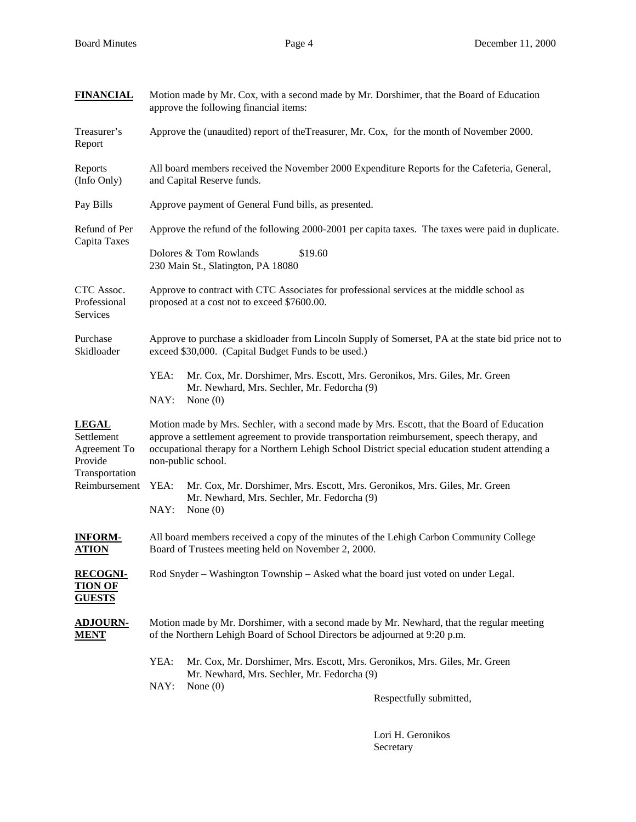| <b>FINANCIAL</b>                                                                         | Motion made by Mr. Cox, with a second made by Mr. Dorshimer, that the Board of Education<br>approve the following financial items:                                                                                                                                                                                   |
|------------------------------------------------------------------------------------------|----------------------------------------------------------------------------------------------------------------------------------------------------------------------------------------------------------------------------------------------------------------------------------------------------------------------|
| Treasurer's<br>Report                                                                    | Approve the (unaudited) report of the Treasurer, Mr. Cox, for the month of November 2000.                                                                                                                                                                                                                            |
| Reports<br>(Info Only)                                                                   | All board members received the November 2000 Expenditure Reports for the Cafeteria, General,<br>and Capital Reserve funds.                                                                                                                                                                                           |
| Pay Bills                                                                                | Approve payment of General Fund bills, as presented.                                                                                                                                                                                                                                                                 |
| Refund of Per<br>Capita Taxes                                                            | Approve the refund of the following 2000-2001 per capita taxes. The taxes were paid in duplicate.                                                                                                                                                                                                                    |
|                                                                                          | Dolores & Tom Rowlands<br>\$19.60<br>230 Main St., Slatington, PA 18080                                                                                                                                                                                                                                              |
| CTC Assoc.<br>Professional<br>Services                                                   | Approve to contract with CTC Associates for professional services at the middle school as<br>proposed at a cost not to exceed \$7600.00.                                                                                                                                                                             |
| Purchase<br>Skidloader                                                                   | Approve to purchase a skidloader from Lincoln Supply of Somerset, PA at the state bid price not to<br>exceed \$30,000. (Capital Budget Funds to be used.)                                                                                                                                                            |
|                                                                                          | YEA:<br>Mr. Cox, Mr. Dorshimer, Mrs. Escott, Mrs. Geronikos, Mrs. Giles, Mr. Green<br>Mr. Newhard, Mrs. Sechler, Mr. Fedorcha (9)<br>NAY:<br>None $(0)$                                                                                                                                                              |
| <b>LEGAL</b><br>Settlement<br>Agreement To<br>Provide<br>Transportation<br>Reimbursement | Motion made by Mrs. Sechler, with a second made by Mrs. Escott, that the Board of Education<br>approve a settlement agreement to provide transportation reimbursement, speech therapy, and<br>occupational therapy for a Northern Lehigh School District special education student attending a<br>non-public school. |
|                                                                                          | YEA:<br>Mr. Cox, Mr. Dorshimer, Mrs. Escott, Mrs. Geronikos, Mrs. Giles, Mr. Green<br>Mr. Newhard, Mrs. Sechler, Mr. Fedorcha (9)<br>NAY:<br>None $(0)$                                                                                                                                                              |
| <b>INFORM-</b><br><b>ATION</b>                                                           | All board members received a copy of the minutes of the Lehigh Carbon Community College<br>Board of Trustees meeting held on November 2, 2000.                                                                                                                                                                       |
| <b>RECOGNI-</b><br><b>TION OF</b><br><b>GUESTS</b>                                       | Rod Snyder – Washington Township – Asked what the board just voted on under Legal.                                                                                                                                                                                                                                   |
| <b>ADJOURN-</b><br><u>MENT</u>                                                           | Motion made by Mr. Dorshimer, with a second made by Mr. Newhard, that the regular meeting<br>of the Northern Lehigh Board of School Directors be adjourned at 9:20 p.m.                                                                                                                                              |
|                                                                                          | YEA:<br>Mr. Cox, Mr. Dorshimer, Mrs. Escott, Mrs. Geronikos, Mrs. Giles, Mr. Green<br>Mr. Newhard, Mrs. Sechler, Mr. Fedorcha (9)                                                                                                                                                                                    |
|                                                                                          | NAY:<br>None $(0)$<br>Respectfully submitted,                                                                                                                                                                                                                                                                        |

Lori H. Geronikos Secretary